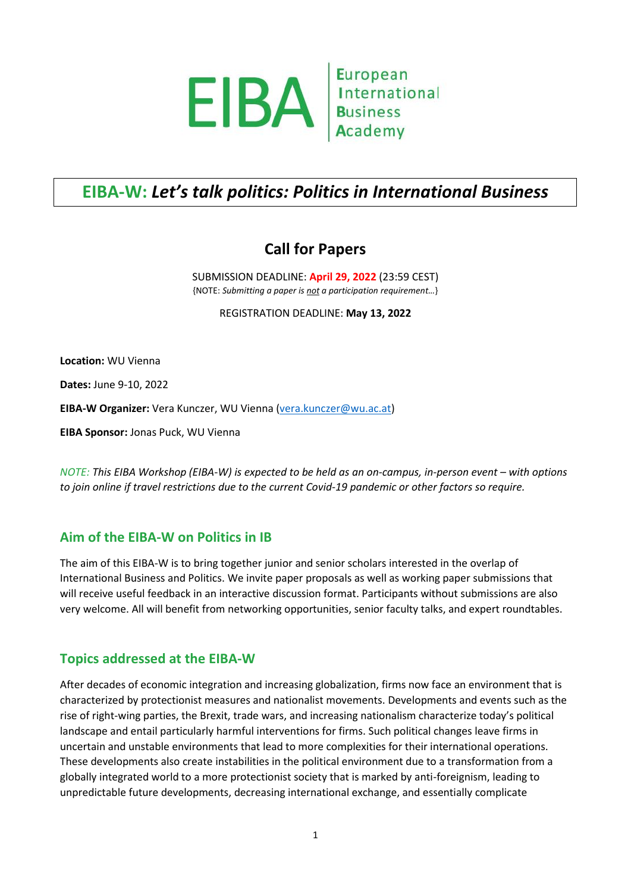

# **EIBA-W:** *Let's talk politics: Politics in International Business*

## **Call for Papers**

SUBMISSION DEADLINE: **April 29, 2022** (23:59 CEST) {NOTE: *Submitting a paper is not a participation requirement…*}

REGISTRATION DEADLINE: **May 13, 2022**

**Location:** WU Vienna

**Dates:** June 9-10, 2022

EIBA-W Organizer: Vera Kunczer, WU Vienna [\(vera.kunczer@wu.ac.at\)](mailto:vera.kunczer@wu.ac.at)

**EIBA Sponsor:** Jonas Puck, WU Vienna

*NOTE: This EIBA Workshop (EIBA-W) is expected to be held as an on-campus, in-person event – with options to join online if travel restrictions due to the current Covid-19 pandemic or other factors so require.*

## **Aim of the EIBA-W on Politics in IB**

The aim of this EIBA-W is to bring together junior and senior scholars interested in the overlap of International Business and Politics. We invite paper proposals as well as working paper submissions that will receive useful feedback in an interactive discussion format. Participants without submissions are also very welcome. All will benefit from networking opportunities, senior faculty talks, and expert roundtables.

## **Topics addressed at the EIBA-W**

After decades of economic integration and increasing globalization, firms now face an environment that is characterized by protectionist measures and nationalist movements. Developments and events such as the rise of right-wing parties, the Brexit, trade wars, and increasing nationalism characterize today's political landscape and entail particularly harmful interventions for firms. Such political changes leave firms in uncertain and unstable environments that lead to more complexities for their international operations. These developments also create instabilities in the political environment due to a transformation from a globally integrated world to a more protectionist society that is marked by anti-foreignism, leading to unpredictable future developments, decreasing international exchange, and essentially complicate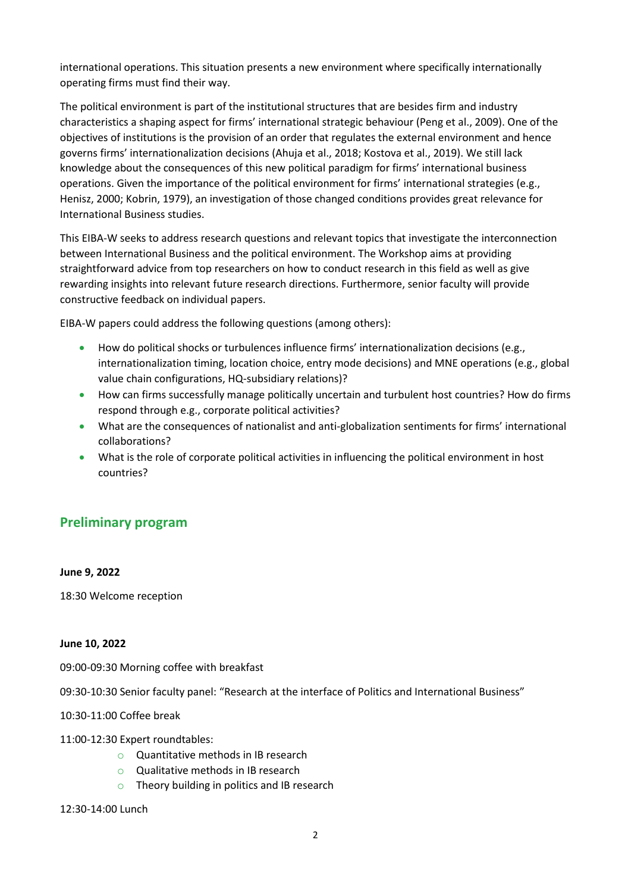international operations. This situation presents a new environment where specifically internationally operating firms must find their way.

The political environment is part of the institutional structures that are besides firm and industry characteristics a shaping aspect for firms' international strategic behaviour (Peng et al., 2009). One of the objectives of institutions is the provision of an order that regulates the external environment and hence governs firms' internationalization decisions (Ahuja et al., 2018; Kostova et al., 2019). We still lack knowledge about the consequences of this new political paradigm for firms' international business operations. Given the importance of the political environment for firms' international strategies (e.g., Henisz, 2000; Kobrin, 1979), an investigation of those changed conditions provides great relevance for International Business studies.

This EIBA-W seeks to address research questions and relevant topics that investigate the interconnection between International Business and the political environment. The Workshop aims at providing straightforward advice from top researchers on how to conduct research in this field as well as give rewarding insights into relevant future research directions. Furthermore, senior faculty will provide constructive feedback on individual papers.

EIBA-W papers could address the following questions (among others):

- How do political shocks or turbulences influence firms' internationalization decisions (e.g., internationalization timing, location choice, entry mode decisions) and MNE operations (e.g., global value chain configurations, HQ-subsidiary relations)?
- How can firms successfully manage politically uncertain and turbulent host countries? How do firms respond through e.g., corporate political activities?
- What are the consequences of nationalist and anti-globalization sentiments for firms' international collaborations?
- What is the role of corporate political activities in influencing the political environment in host countries?

## **Preliminary program**

#### **June 9, 2022**

18:30 Welcome reception

#### **June 10, 2022**

09:00-09:30 Morning coffee with breakfast

09:30-10:30 Senior faculty panel: "Research at the interface of Politics and International Business"

10:30-11:00 Coffee break

11:00-12:30 Expert roundtables:

- o Quantitative methods in IB research
- o Qualitative methods in IB research
- $\circ$  Theory building in politics and IB research

#### 12:30-14:00 Lunch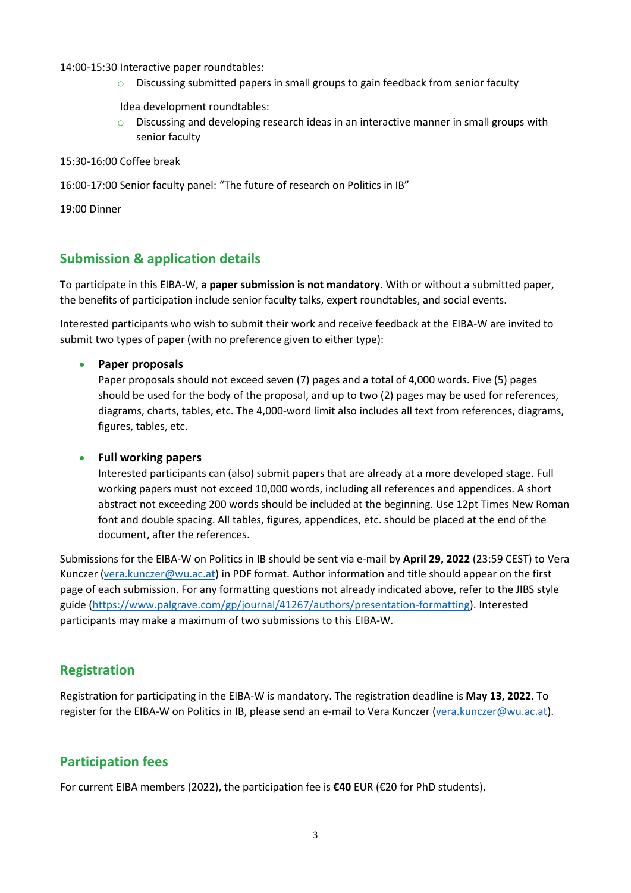14:00-15:30 Interactive paper roundtables:

 $\circ$  Discussing submitted papers in small groups to gain feedback from senior faculty

Idea development roundtables:

 $\circ$  Discussing and developing research ideas in an interactive manner in small groups with senior faculty

15:30-16:00 Coffee break

16:00-17:00 Senior faculty panel: "The future of research on Politics in IB"

19:00 Dinner

## **Submission & application details**

To participate in this EIBA-W, **a paper submission is not mandatory**. With or without a submitted paper, the benefits of participation include senior faculty talks, expert roundtables, and social events.

Interested participants who wish to submit their work and receive feedback at the EIBA-W are invited to submit two types of paper (with no preference given to either type):

#### **Paper proposals**

Paper proposals should not exceed seven (7) pages and a total of 4,000 words. Five (5) pages should be used for the body of the proposal, and up to two (2) pages may be used for references, diagrams, charts, tables, etc. The 4,000-word limit also includes all text from references, diagrams, figures, tables, etc.

#### **Full working papers**

Interested participants can (also) submit papers that are already at a more developed stage. Full working papers must not exceed 10,000 words, including all references and appendices. A short abstract not exceeding 200 words should be included at the beginning. Use 12pt Times New Roman font and double spacing. All tables, figures, appendices, etc. should be placed at the end of the document, after the references.

Submissions for the EIBA-W on Politics in IB should be sent via e-mail by **April 29, 2022** (23:59 CEST) to Vera Kunczer [\(vera.kunczer@wu.ac.at\)](mailto:vera.kunczer@wu.ac.at) in PDF format. Author information and title should appear on the first page of each submission. For any formatting questions not already indicated above, refer to the JIBS style guide [\(https://www.palgrave.com/gp/journal/41267/authors/presentation-formatting\)](https://www.palgrave.com/gp/journal/41267/authors/presentation-formatting). Interested participants may make a maximum of two submissions to this EIBA-W.

## **Registration**

Registration for participating in the EIBA-W is mandatory. The registration deadline is **May 13, 2022**. To register for the EIBA-W on Politics in IB, please send an e-mail to Vera Kunczer [\(vera.kunczer@wu.ac.at\)](mailto:vera.kunczer@wu.ac.at).

## **Participation fees**

For current EIBA members (2022), the participation fee is **€40** EUR (€20 for PhD students).